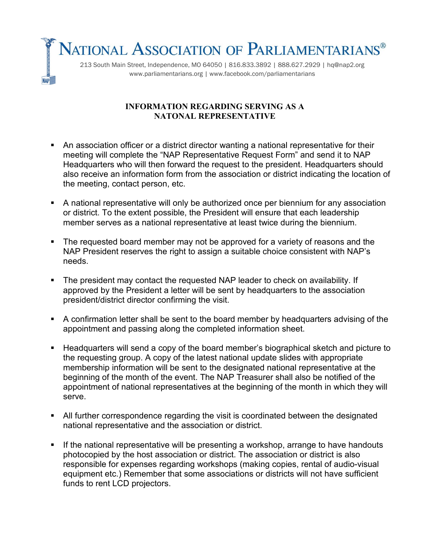NATIONAL ASSOCIATION OF PARLIAMENTARIANS® 213 South Main Street, Independence, MO 64050 | 816.833.3892 | 888.627.2929 | hq@nap2.org www.parliamentarians.org | www.facebook.com/parliamentarians

## **INFORMATION REGARDING SERVING AS A NATONAL REPRESENTATIVE**

- An association officer or a district director wanting a national representative for their meeting will complete the "NAP Representative Request Form" and send it to NAP Headquarters who will then forward the request to the president. Headquarters should also receive an information form from the association or district indicating the location of the meeting, contact person, etc.
- A national representative will only be authorized once per biennium for any association or district. To the extent possible, the President will ensure that each leadership member serves as a national representative at least twice during the biennium.
- The requested board member may not be approved for a variety of reasons and the NAP President reserves the right to assign a suitable choice consistent with NAP's needs.
- The president may contact the requested NAP leader to check on availability. If approved by the President a letter will be sent by headquarters to the association president/district director confirming the visit.
- A confirmation letter shall be sent to the board member by headquarters advising of the appointment and passing along the completed information sheet.
- Headquarters will send a copy of the board member's biographical sketch and picture to the requesting group. A copy of the latest national update slides with appropriate membership information will be sent to the designated national representative at the beginning of the month of the event. The NAP Treasurer shall also be notified of the appointment of national representatives at the beginning of the month in which they will serve.
- All further correspondence regarding the visit is coordinated between the designated national representative and the association or district.
- **If the national representative will be presenting a workshop, arrange to have handouts** photocopied by the host association or district. The association or district is also responsible for expenses regarding workshops (making copies, rental of audio-visual equipment etc.) Remember that some associations or districts will not have sufficient funds to rent LCD projectors.